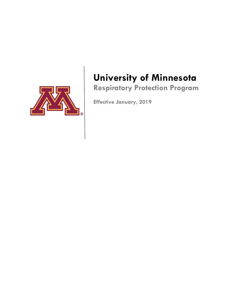

# **University of Minnesota**

**Respiratory Protection Program**

**Effective January, 2019**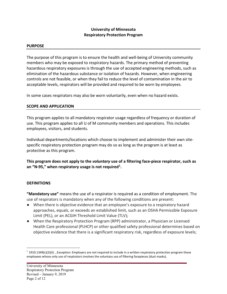#### **University of Minnesota Respiratory Protection Program**

#### **PURPOSE**

The purpose of this program is to ensure the health and well-being of University community members who may be exposed to respiratory hazards. The primary method of preventing hazardous respiratory exposures is through the use of accepted engineering methods, such as elimination of the hazardous substance or isolation of hazards. However, when engineering controls are not feasible, or when they fail to reduce the level of contamination in the air to acceptable levels, respirators will be provided and required to be worn by employees.

In some cases respirators may also be worn voluntarily, even when no hazard exists.

#### **SCOPE AND APPLICATION**

This program applies to all mandatory respirator usage regardless of frequency or duration of use. This program applies to all U of M community members and operations. This includes employees, visitors, and students.

Individual departments/locations which choose to implement and administer their own sitespecific respiratory protection program may do so as long as the program is at least as protective as this program.

**This program does not apply to the** *voluntary* **use of a filtering face-piece respirator, such as an "N-95," when respiratory usage is not required[1.](#page-1-0)**

#### **DEFINITIONS**

**"Mandatory use"** means the use of a respirator is required as a condition of employment. The use of respirators is mandatory when any of the following conditions are present:

- When there is objective evidence that an employee's exposure to a respiratory hazard approaches, equals, or exceeds an established limit, such as an OSHA Permissible Exposure Limit (PEL), or an ACGIH Threshold Limit Value (TLV);
- When the Respiratory Protection Program (RPP) administrator, a Physician or Licensed Health Care professional (PLHCP) or other qualified safety professional determines based on objective evidence that there is a significant respiratory risk, regardless of exposure levels;

<span id="page-1-0"></span> $1$  1910.1349(c)(2)(ii) …Exception: Employers are not required to include in a written respiratory protection program those employees whose only use of respirators involves the voluntary use of filtering facepieces (dust masks).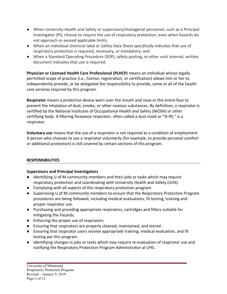- When University Health and Safety or supervisory/managerial personnel, such as a Principal Investigator (PI), choose to require the use of respiratory protection, even when hazards do not approach or exceed applicable limits;
- When an individual chemical label or Safety Data Sheet *specifically* indicates that use of respiratory protection is required, necessary, or mandatory; and
- When a Standard Operating Procedure (SOP), safety posting, or other such internal, written document indicates that use is required.

**Physician or Licensed Health Care Professional (PLHCP)** means an individual whose legally permitted scope of practice (i.e., license, registration, or certification) allows him or her to independently provide, or be delegated the responsibility to provide, some or all of the health care services required by this program.

**Respirator** means a protective device worn over the mouth and nose or the entire face to prevent the inhalation of dust, smoke, or other noxious substances. By definition, a respirator is certified by the National Institutes of Occupational Health and Safety (NIOSH) or other certifying body. A filtering facepiece respirator, often called a dust mask or "N-95," is a respirator.

**Voluntary use** means that the use of a respirator is not required as a condition of employment. A person who chooses to use a respirator voluntarily (for example, to provide personal comfort or additional protection) is still covered by certain sections of this program.

#### **RESPONSIBILITIES**

#### **Supervisors and Principal Investigators**

- Identifying U of M community members and their jobs or tasks which may require respiratory protection and coordinating with University Health and Safety (UHS).
- Complying with all aspects of this respiratory protection program.
- Supervising U of M community members to ensure that the Respiratory Protection Program procedures are being followed, including medical evaluations, fit testing, training and proper respirator use.
- Purchasing and providing appropriate respirators, cartridges and filters suitable for mitigating the hazards.
- Enforcing the proper use of respirators.
- Ensuring that respirators are properly cleaned, maintained, and stored.
- Ensuring that respirator users receive appropriate training, medical evaluation, and fit testing per this program.
- Identifying changes in jobs or tasks which may require re-evaluation of respirator use and notifying the Respiratory Protection Program Administrator at UHS.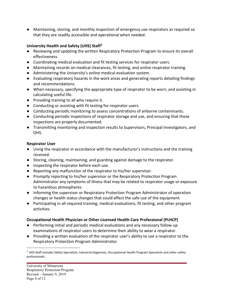● Maintaining, storing, and monthly inspection of emergency use respirators as required so that they are readily accessible and operational when needed.

## **University Health and Safety (UHS) Staff[2](#page-3-0)**

- Reviewing and updating the written Respiratory Protection Program to ensure its overall effectiveness.
- Coordinating medical evaluation and fit testing services for respirator users.
- Maintaining records on medical clearances, fit testing, and online respirator training.
- Administering the University's online medical evaluation system.
- Evaluating respiratory hazards in the work areas and generating reports detailing findings and recommendations.
- When necessary, specifying the appropriate type of respirator to be worn, and assisting in calculating useful life.
- Providing training to all who require it.
- Conducting or assisting with fit testing for respirator users.
- Conducting periodic monitoring to assess concentrations of airborne contaminants.
- Conducting periodic inspections of respirator storage and use, and ensuring that these inspections are properly documented.
- Transmitting monitoring and inspection results to Supervisors, Principal Investigators, and OHS.

## **Respirator User**

- Using the respirator in accordance with the manufacturer's instructions and the training received.
- Storing, cleaning, maintaining, and guarding against damage to the respirator.
- Inspecting the respirator before each use.
- Reporting any malfunction of the respirator to his/her supervisor.
- Promptly reporting to his/her supervisor or the Respiratory Protection Program Administrator any symptoms of illness that may be related to respirator usage or exposure to hazardous atmospheres.
- Informing the supervisor or Respiratory Protection Program Administrator of operation changes or health status changes that could affect the safe use of the equipment.
- Participating in all required training, medical evaluations, fit testing, and other program activities.

## **Occupational Health Physician or Other Licensed Health Care Professional (PLHCP)**

- Performing initial and periodic medical evaluations and any necessary follow-up examinations of respirator users to determine their ability to wear a respirator.
- Providing a written evaluation of the respirator user's ability to use a respirator to the Respiratory Protection Program Administrator.

<span id="page-3-0"></span> $2$  UHS Staff includes Safety Specialists, Industrial Hygienists, Occupational Health Program Specialists and other safety professionals.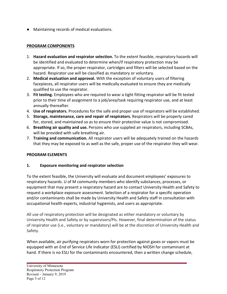● Maintaining records of medical evaluations.

#### **PROGRAM COMPONENTS**

- 1. **Hazard evaluation and respirator selection.** To the extent feasible, respiratory hazards will be identified and evaluated to determine when/if respiratory protection may be appropriate. If so, the proper respirator, cartridges and filters will be selected based on the hazard. Respirator use will be classified as mandatory or voluntary.
- 2. **Medical evaluation and approval.** With the exception of voluntary users of filtering facepieces, all respirator users will be medically evaluated to ensure they are medically qualified to use the respirator.
- 3. **Fit testing.** Employees who are required to wear a tight fitting respirator will be fit tested prior to their time of assignment to a job/area/task requiring respirator use, and at least annually thereafter.
- 4. **Use of respirators.** Procedures for the safe and proper use of respirators will be established.
- 5. **Storage, maintenance, care and repair of respirators.** Respirators will be properly cared for, stored, and maintained so as to ensure their protective value is not compromised.
- 6. **Breathing air quality and use.** Persons who use supplied air respirators, including SCBAs, will be provided with safe breathing air.
- 7. **Training and communication.** All respirator users will be adequately trained on the hazards that they may be exposed to as well as the safe, proper use of the respirator they will wear.

#### **PROGRAM ELEMENTS**

#### **1. Exposure monitoring and respirator selection**

To the extent feasible, the University will evaluate and document employees' exposures to respiratory hazards. U of M community members who identify substances, processes, or equipment that may present a respiratory hazard are to contact University Health and Safety to request a workplace exposure assessment. Selection of a respirator for a specific operation and/or contaminants shall be made by University Health and Safety staff in consultation with occupational health experts, industrial hygienists, and users as appropriate.

All use of respiratory protection will be designated as either mandatory or voluntary by University Health and Safety or by supervisors/PIs. However, final determination of the status of respirator use (i.e., voluntary or mandatory) will be at the discretion of University Health and Safety.

When available, air purifying respirators worn for protection against gases or vapors must be equipped with an End of Service Life Indicator (ESLI) certified by NIOSH for contaminant at hand. If there is no ESLI for the contaminants encountered, then a written change schedule,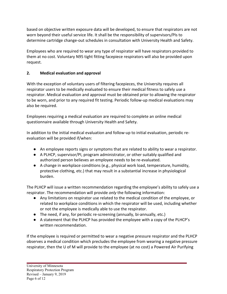based on objective written exposure data will be developed, to ensure that respirators are not worn beyond their useful service life. It shall be the responsibility of supervisors/PIs to determine cartridge change-out schedules in consultation with University Health and Safety.

Employees who are required to wear any type of respirator will have respirators provided to them at no cost. Voluntary N95 tight fitting facepiece respirators will also be provided upon request.

## **2. Medical evaluation and approval**

With the exception of voluntary users of filtering facepieces, the University requires all respirator users to be medically evaluated to ensure their medical fitness to safely use a respirator. Medical evaluation and approval must be obtained prior to allowing the respirator to be worn, and prior to any required fit testing. Periodic follow-up medical evaluations may also be required.

Employees requiring a medical evaluation are required to complete an online medical questionnaire available through University Health and Safety.

In addition to the initial medical evaluation and follow-up to initial evaluation, periodic reevaluation will be provided if/when:

- An employee reports signs or symptoms that are related to ability to wear a respirator.
- A PLHCP, supervisor/PI, program administrator, or other suitably qualified and authorized person believes an employee needs to be re-evaluated.
- A change in workplace conditions (e.g., physical work load, temperature, humidity, protective clothing, etc.) that may result in a substantial increase in physiological burden.

The PLHCP will issue a written recommendation regarding the employee's ability to safely use a respirator. The recommendation will provide *only* the following information:

- Any limitations on respirator use related to the medical condition of the employee, or related to workplace conditions in which the respirator will be used, including whether or not the employee is medically able to use the respirator.
- The need, if any, for periodic re-screening (annually, bi-annually, etc.)
- A statement that the PLHCP has provided the employee with a copy of the PLHCP's written recommendation.

If the employee is required or permitted to wear a negative pressure respirator and the PLHCP observes a medical condition which precludes the employee from wearing a negative pressure respirator, then the U of M will provide to the employee (at no cost) a Powered Air Purifying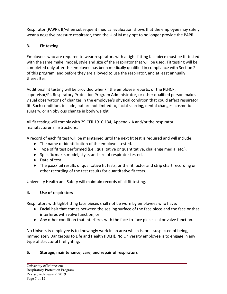Respirator (PAPR). If/when subsequent medical evaluation shows that the employee may safely wear a negative pressure respirator, then the U of M may opt to no longer provide the PAPR.

## **3. Fit testing**

Employees who are required to wear respirators with a tight-fitting facepiece must be fit tested with the same make, model, style and size of the respirator that will be used. Fit testing will be completed only after the employee has been medically qualified in compliance with Section 2 of this program, and before they are allowed to use the respirator, and at least annually thereafter.

Additional fit testing will be provided when/if the employee reports, or the PLHCP, supervisor/PI, Respiratory Protection Program Administrator, or other qualified person makes visual observations of changes in the employee's physical condition that could affect respirator fit. Such conditions include, but are not limited to, facial scarring, dental changes, cosmetic surgery, or an obvious change in body weight.

All fit testing will comply with 29 CFR 1910.134, Appendix A and/or the respirator manufacturer's instructions.

A record of each fit test will be maintained until the next fit test is required and will include:

- The name or identification of the employee tested.
- Type of fit test performed (i.e., qualitative or quantitative, challenge media, etc.).
- Specific make, model, style, and size of respirator tested.
- Date of test.
- The pass/fail results of qualitative fit tests, or the fit factor and strip chart recording or other recording of the test results for quantitative fit tests.

University Health and Safety will maintain records of all fit testing.

## **4. Use of respirators**

Respirators with tight-fitting face pieces shall not be worn by employees who have:

- Facial hair that comes between the sealing surface of the face piece and the face or that interferes with valve function; or
- Any other condition that interferes with the face-to-face piece seal or valve function.

No University employee is to knowingly work in an area which is, or is suspected of being, Immediately Dangerous to Life and Health (IDLH). No University employee is to engage in any type of structural firefighting.

## **5. Storage, maintenance, care, and repair of respirators**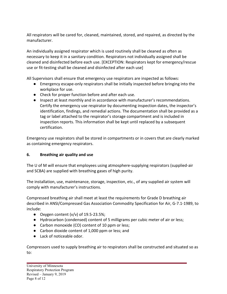All respirators will be cared for, cleaned, maintained, stored, and repaired, as directed by the manufacturer.

An individually assigned respirator which is used routinely shall be cleaned as often as necessary to keep it in a sanitary condition. Respirators not individually assigned shall be cleaned and disinfected before each use. [EXCEPTION: Respirators kept for emergency/rescue use or fit-testing shall be cleaned and disinfected after each use]

All Supervisors shall ensure that emergency use respirators are inspected as follows:

- Emergency escape-only respirators shall be initially inspected before bringing into the workplace for use.
- Check for proper function before and after each use.
- Inspect at least monthly and in accordance with manufacturer's recommendations. Certify the emergency use respirator by documenting inspection dates, the inspector's identification, findings, and remedial actions. The documentation shall be provided as a tag or label attached to the respirator's storage compartment and is included in inspection reports. This information shall be kept until replaced by a subsequent certification.

Emergency use respirators shall be stored in compartments or in covers that are clearly marked as containing emergency respirators.

#### **6. Breathing air quality and use**

The U of M will ensure that employees using atmosphere-supplying respirators (supplied-air and SCBA) are supplied with breathing gases of high purity.

The installation, use, maintenance, storage, inspection, etc., of any supplied air system will comply with manufacturer's instructions.

Compressed breathing air shall meet at least the requirements for Grade D breathing air described in ANSI/Compressed Gas Association Commodity Specification for Air, G-7.1-1989, to include:

- Oxygen content (v/v) of 19.5-23.5%;
- Hydrocarbon (condensed) content of 5 milligrams per cubic meter of air or less;
- Carbon monoxide (CO) content of 10 ppm or less;
- Carbon dioxide content of 1,000 ppm or less; and
- Lack of noticeable odor.

Compressors used to supply breathing air to respirators shall be constructed and situated so as to: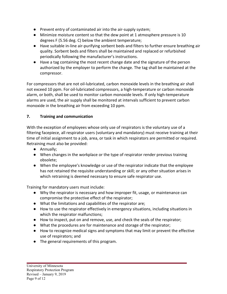- Prevent entry of contaminated air into the air-supply system;
- Minimize moisture content so that the dew point at 1 atmosphere pressure is 10 degrees F (5.56 deg. C) below the ambient temperature;
- Have suitable in-line air-purifying sorbent beds and filters to further ensure breathing air quality. Sorbent beds and filters shall be maintained and replaced or refurbished periodically following the manufacturer's instructions.
- Have a tag containing the most recent change date and the signature of the person authorized by the employer to perform the change. The tag shall be maintained at the compressor.

For compressors that are not oil-lubricated, carbon monoxide levels in the breathing air shall not exceed 10 ppm. For oil-lubricated compressors, a high-temperature or carbon monoxide alarm, or both, shall be used to monitor carbon monoxide levels. If only high-temperature alarms are used, the air supply shall be monitored at intervals sufficient to prevent carbon monoxide in the breathing air from exceeding 10 ppm.

## **7. Training and communication**

With the exception of employees whose only use of respirators is the voluntary use of a filtering facepiece, all respirator users (voluntary and mandatory) must receive training at their time of initial assignment to a job, area, or task in which respirators are permitted or required. Retraining must also be provided:

- Annually;
- When changes in the workplace or the type of respirator render previous training obsolete;
- When the employee's knowledge or use of the respirator indicate that the employee has not retained the requisite understanding or skill; or any other situation arises in which retraining is deemed necessary to ensure safe respirator use.

Training for mandatory users must include:

- Why the respirator is necessary and how improper fit, usage, or maintenance can compromise the protective effect of the respirator;
- What the limitations and capabilities of the respirator are;
- How to use the respirator effectively in emergency situations, including situations in which the respirator malfunctions;
- How to inspect, put on and remove, use, and check the seals of the respirator;
- What the procedures are for maintenance and storage of the respirator;
- How to recognize medical signs and symptoms that may limit or prevent the effective use of respirators; and
- The general requirements of this program.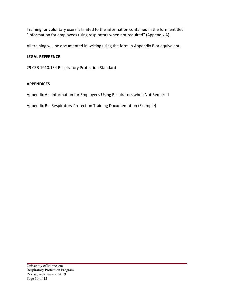Training for voluntary users is limited to the information contained in the form entitled "Information for employees using respirators when not required" (Appendix A).

All training will be documented in writing using the form in Appendix B or equivalent.

## **LEGAL REFERENCE**

29 CFR 1910.134 Respiratory Protection Standard

## **APPENDICES**

Appendix A – Information for Employees Using Respirators when Not Required

Appendix B – Respiratory Protection Training Documentation (Example)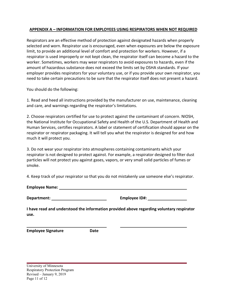#### **APPENDIX A – INFORMATION FOR EMPLOYEES USING RESPIRATORS WHEN NOT REQUIRED**

Respirators are an effective method of protection against designated hazards when properly selected and worn. Respirator use is encouraged, even when exposures are below the exposure limit, to provide an additional level of comfort and protection for workers. However, if a respirator is used improperly or not kept clean, the respirator itself can become a hazard to the worker. Sometimes, workers may wear respirators to avoid exposures to hazards, even if the amount of hazardous substance does not exceed the limits set by OSHA standards. If your employer provides respirators for your voluntary use, or if you provide your own respirator, you need to take certain precautions to be sure that the respirator itself does not present a hazard.

You should do the following:

1. Read and heed all instructions provided by the manufacturer on use, maintenance, cleaning and care, and warnings regarding the respirator's limitations.

2. Choose respirators certified for use to protect against the contaminant of concern. NIOSH, the National Institute for Occupational Safety and Health of the U.S. Department of Health and Human Services, certifies respirators. A label or statement of certification should appear on the respirator or respirator packaging. It will tell you what the respirator is designed for and how much it will protect you.

3. Do not wear your respirator into atmospheres containing contaminants which your respirator is not designed to protect against. For example, a respirator designed to filter dust particles will not protect you against gases, vapors, or very small solid particles of fumes or smoke.

4. Keep track of your respirator so that you do not mistakenly use someone else's respirator.

| <b>Employee Name:</b> |  |
|-----------------------|--|
|                       |  |

**Department: Employee ID#:**

**I have read and understood the information provided above regarding voluntary respirator use.**

**Employee Signature Date**